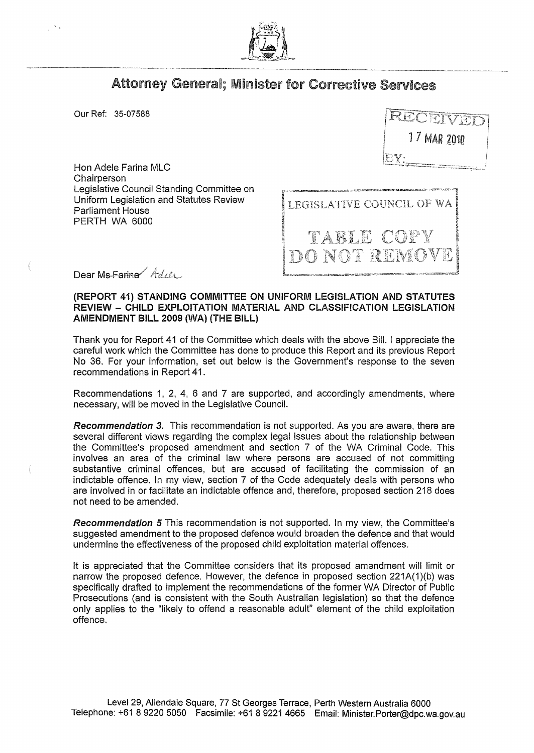

## Attorney General; Minister for Corrective Services

Our Ref: 35-07588

Hon Adele Farina MLC Chairperson Legislative Council Standing Committee on Uniform Legislation and Statutes Review Parliament House PERTH WA 6000

1 7 MAR 2010

LEGISLATIVE COUNCIL OF WA TABLE COP M NOT RUMS

Dear Ms-Farina Adel

## (REPORT 41) STANDING COMMITTEE ON UNIFORM LEGISLATION AND STATUTES REVIEW - CHILD EXPLOITATION MATERIAL AND CLASSIFICATION LEGISLATION AMENDMENT BILL 2009 (WA) (THE BILL)

Thank you for Report 41 of the Committee which deals with the above Bill. I appreciate the careful work which the Committee has done to produce this Report and its previous Report No 36. For your information, set out below is the Government's response to the seven recommendations in Report 41.

Recommendations 1, 2, 4, 6 and 7 are supported, and accordingly amendments, where necessary, will be moved in the Legislative Council.

*Recommendation* 3. This recommendation is not supported. As you are aware, there are several different views regarding the complex legal issues about the relationship between the Committee's proposed amendment and section 7 of the WA Criminal Code. This involves an area of the criminal law where persons are accused of not committing substantive criminal offences, but are accused of facilitating the commission of an indictable offence. In my view, section 7 of the Code adequately deals with persons who are involved in or facilitate an indictable offence and, therefore, proposed section 218 does not need to be amended.

*Recommendation* 5 This recommendation is not supported. In my view, the Committee's suggested amendment to the proposed defence would broaden the defence and that would undermine the effectiveness of the proposed child exploitation material offences.

It is appreciated that the Committee considers that its proposed amendment will limit or narrow the proposed defence. However, the defence in proposed section 221A(1)(b) was specifically drafted to implement the recommendations of the former WA Director of Public Prosecutions (and is consistent with the South Australian legislation) so that the defence only applies to the "likely to offend a reasonable adult" element of the child exploitation offence.